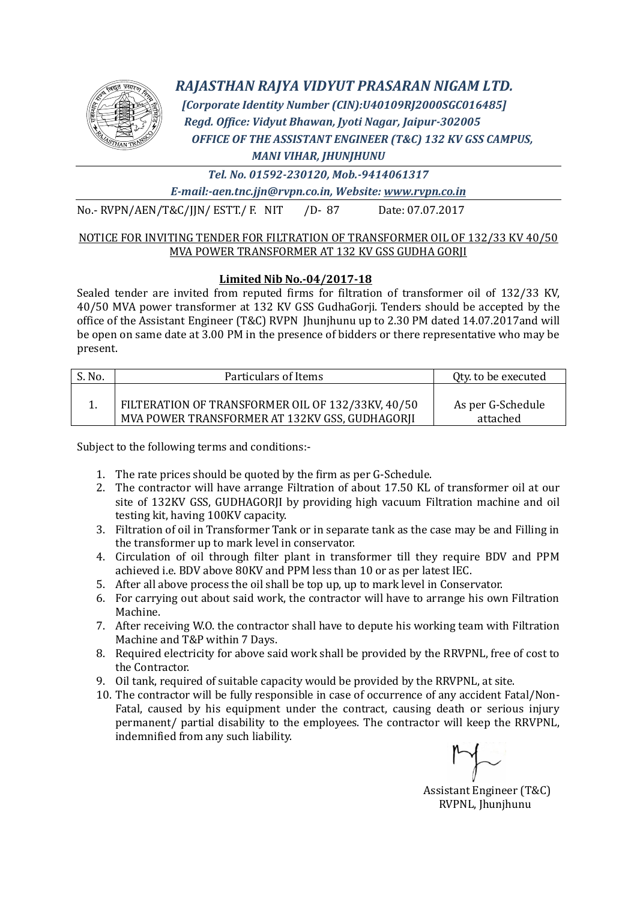

## *RAJASTHAN RAJYA VIDYUT PRASARAN NIGAM LTD.*

 *[Corporate Identity Number (CIN):U40109RJ2000SGC016485] Regd. Office: Vidyut Bhawan, Jyoti Nagar, Jaipur-302005 OFFICE OF THE ASSISTANT ENGINEER (T&C) 132 KV GSS CAMPUS, MANI VIHAR, JHUNJHUNU*

*Tel. No. 01592-230120, Mob.-9414061317*

*E-mail:-aen.tnc.jjn@rvpn.co.in, Website: www.rvpn.co.in*

No.- RVPN/AEN/T&C/JJN/ ESTT./ F. NIT /D- 87 Date: 07.07.2017

#### NOTICE FOR INVITING TENDER FOR FILTRATION OF TRANSFORMER OIL OF 132/33 KV 40/50 MVA POWER TRANSFORMER AT 132 KV GSS GUDHA GORJI

### **Limited Nib No.-04/2017-18**

Sealed tender are invited from reputed firms for filtration of transformer oil of 132/33 KV, 40/50 MVA power transformer at 132 KV GSS GudhaGorji. Tenders should be accepted by the office of the Assistant Engineer (T&C) RVPN Jhunjhunu up to 2.30 PM dated 14.07.2017and will be open on same date at 3.00 PM in the presence of bidders or there representative who may be present.

| S. No. | Particulars of Items                                                                                | Qty. to be executed           |  |  |
|--------|-----------------------------------------------------------------------------------------------------|-------------------------------|--|--|
|        | FILTERATION OF TRANSFORMER OIL OF 132/33KV, 40/50<br>MVA POWER TRANSFORMER AT 132KV GSS, GUDHAGORJI | As per G-Schedule<br>attached |  |  |

Subject to the following terms and conditions:-

- 1. The rate prices should be quoted by the firm as per G-Schedule.
- 2. The contractor will have arrange Filtration of about 17.50 KL of transformer oil at our site of 132KV GSS, GUDHAGORJI by providing high vacuum Filtration machine and oil testing kit, having 100KV capacity.
- 3. Filtration of oil in Transformer Tank or in separate tank as the case may be and Filling in the transformer up to mark level in conservator.
- 4. Circulation of oil through filter plant in transformer till they require BDV and PPM achieved i.e. BDV above 80KV and PPM less than 10 or as per latest IEC.
- 5. After all above process the oil shall be top up, up to mark level in Conservator.
- 6. For carrying out about said work, the contractor will have to arrange his own Filtration Machine.
- 7. After receiving W.O. the contractor shall have to depute his working team with Filtration Machine and T&P within 7 Days.
- 8. Required electricity for above said work shall be provided by the RRVPNL, free of cost to the Contractor.
- 9. Oil tank, required of suitable capacity would be provided by the RRVPNL, at site.
- 10. The contractor will be fully responsible in case of occurrence of any accident Fatal/Non-Fatal, caused by his equipment under the contract, causing death or serious injury permanent/ partial disability to the employees. The contractor will keep the RRVPNL, indemnified from any such liability.

Assistant Engineer (T&C) RVPNL, Jhunjhunu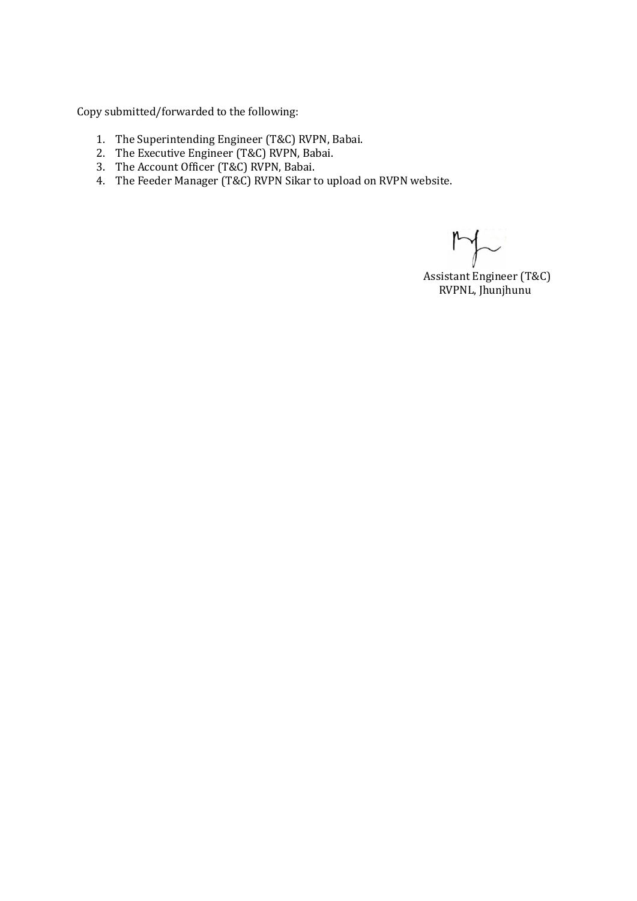Copy submitted/forwarded to the following:

- 1. The Superintending Engineer (T&C) RVPN, Babai.
- 2. The Executive Engineer (T&C) RVPN, Babai.
- 3. The Account Officer (T&C) RVPN, Babai.
- 4. The Feeder Manager (T&C) RVPN Sikar to upload on RVPN website.

Assistant Engineer (T&C) RVPNL, Jhunjhunu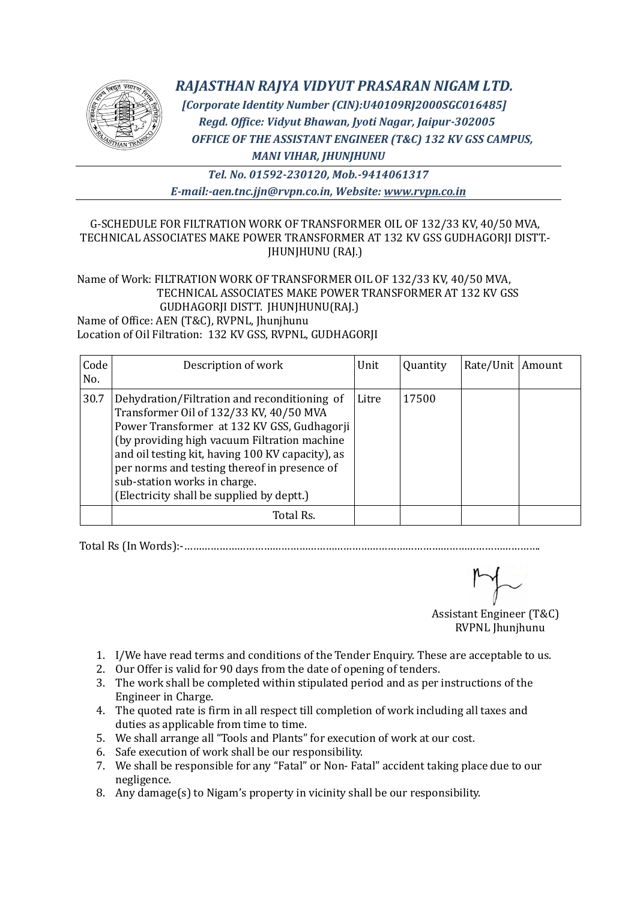

# *RAJASTHAN RAJYA VIDYUT PRASARAN NIGAM LTD.*

 *[Corporate Identity Number (CIN):U40109RJ2000SGC016485] Regd. Office: Vidyut Bhawan, Jyoti Nagar, Jaipur-302005 OFFICE OF THE ASSISTANT ENGINEER (T&C) 132 KV GSS CAMPUS, MANI VIHAR, JHUNJHUNU*

*Tel. No. 01592-230120, Mob.-9414061317 E-mail:-aen.tnc.jjn@rvpn.co.in, Website: www.rvpn.co.in*

### G-SCHEDULE FOR FILTRATION WORK OF TRANSFORMER OIL OF 132/33 KV, 40/50 MVA, TECHNICAL ASSOCIATES MAKE POWER TRANSFORMER AT 132 KV GSS GUDHAGORJI DISTT.- JHUNJHUNU (RAJ.)

### Name of Work: FILTRATION WORK OF TRANSFORMER OIL OF 132/33 KV, 40/50 MVA, TECHNICAL ASSOCIATES MAKE POWER TRANSFORMER AT 132 KV GSS GUDHAGORJI DISTT. JHUNJHUNU(RAJ.)

Name of Office: AEN (T&C), RVPNL, Jhunjhunu Location of Oil Filtration: 132 KV GSS, RVPNL, GUDHAGORJI

| Code<br>No. | Description of work                                                                                                                                                                                                                                                                                                                                                      | Unit  | Quantity | Rate/Unit   Amount |  |
|-------------|--------------------------------------------------------------------------------------------------------------------------------------------------------------------------------------------------------------------------------------------------------------------------------------------------------------------------------------------------------------------------|-------|----------|--------------------|--|
| 30.7        | Dehydration/Filtration and reconditioning of<br>Transformer Oil of 132/33 KV, 40/50 MVA<br>Power Transformer at 132 KV GSS, Gudhagorji<br>(by providing high vacuum Filtration machine)<br>and oil testing kit, having 100 KV capacity), as<br>per norms and testing thereof in presence of<br>sub-station works in charge.<br>(Electricity shall be supplied by deptt.) | Litre | 17500    |                    |  |
|             | Total Rs.                                                                                                                                                                                                                                                                                                                                                                |       |          |                    |  |

Total Rs (In Words):-………………………………………………………………………………………………………….

Assistant Engineer (T&C)

RVPNL Jhunjhunu

- 1. I/We have read terms and conditions of the Tender Enquiry. These are acceptable to us.
- 2. Our Offer is valid for 90 days from the date of opening of tenders.
- 3. The work shall be completed within stipulated period and as per instructions of the Engineer in Charge.
- 4. The quoted rate is firm in all respect till completion of work including all taxes and duties as applicable from time to time.
- 5. We shall arrange all "Tools and Plants" for execution of work at our cost.
- 6. Safe execution of work shall be our responsibility.
- 7. We shall be responsible for any "Fatal" or Non- Fatal" accident taking place due to our negligence.
- 8. Any damage(s) to Nigam's property in vicinity shall be our responsibility.